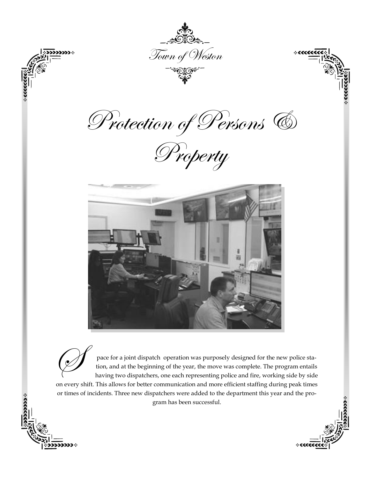

pace for a joint dispatch operation was purposely designed for the new police station, and at the beginning of the year, the move was complete. The program entails having two dispatchers, one each representing police and f tion, and at the beginning of the year, the move was complete. The program entails having two dispatchers, one each representing police and fire, working side by side on every shift. This allows for better communication and more efficient staffing during peak times or times of incidents. Three new dispatchers were added to the department this year and the program has been successful.

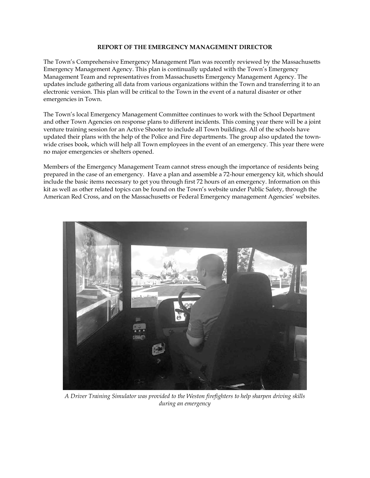## **REPORT OF THE EMERGENCY MANAGEMENT DIRECTOR**

The Town's Comprehensive Emergency Management Plan was recently reviewed by the Massachusetts Emergency Management Agency. This plan is continually updated with the Town's Emergency Management Team and representatives from Massachusetts Emergency Management Agency. The updates include gathering all data from various organizations within the Town and transferring it to an electronic version. This plan will be critical to the Town in the event of a natural disaster or other emergencies in Town.

The Town's local Emergency Management Committee continues to work with the School Department and other Town Agencies on response plans to different incidents. This coming year there will be a joint venture training session for an Active Shooter to include all Town buildings. All of the schools have updated their plans with the help of the Police and Fire departments. The group also updated the townwide crises book, which will help all Town employees in the event of an emergency. This year there were no major emergencies or shelters opened.

Members of the Emergency Management Team cannot stress enough the importance of residents being prepared in the case of an emergency. Have a plan and assemble a 72-hour emergency kit, which should include the basic items necessary to get you through first 72 hours of an emergency. Information on this kit as well as other related topics can be found on the Town's website under Public Safety, through the American Red Cross, and on the Massachusetts or Federal Emergency management Agencies' websites.



*A Driver Training Simulator was provided to the Weston firefighters to help sharpen driving skills during an emergency*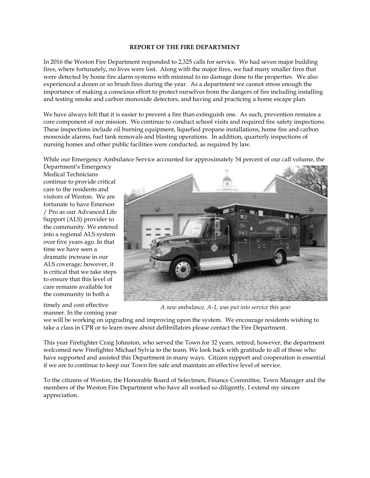### **REPORT OF THE FIRE DEPARTMENT**

In 2016 the Weston Fire Department responded to 2,325 calls for service. We had seven major building fires, where fortunately, no lives were lost. Along with the major fires, we had many smaller fires that were detected by home fire alarm systems with minimal to no damage done to the properties. We also experienced a dozen or so brush fires during the year. As a department we cannot stress enough the importance of making a conscious effort to protect ourselves from the dangers of fire including installing and testing smoke and carbon monoxide detectors, and having and practicing a home escape plan.

We have always felt that it is easier to prevent a fire than extinguish one. As such, prevention remains a core component of our mission. We continue to conduct school visits and required fire safety inspections. These inspections include oil burning equipment, liquefied propane installations, home fire and carbon monoxide alarms, fuel tank removals and blasting operations. In addition, quarterly inspections of nursing homes and other public facilities were conducted, as required by law.

While our Emergency Ambulance Service accounted for approximately 54 percent of our call volume, the

Department's Emergency Medical Technicians continue to provide critical care to the residents and visitors of Weston. We are fortunate to have Emerson / Pro as our Advanced Life Support (ALS) provider to the community. We entered into a regional ALS system over five years ago. In that time we have seen a dramatic increase in our ALS coverage; however, it is critical that we take steps to ensure that this level of care remains available for the community in both a

timely and cost effective manner. In the coming year



*A new ambulance, A-1, was put into service this year*

we will be working on upgrading and improving upon the system. We encourage residents wishing to take a class in CPR or to learn more about defibrillators please contact the Fire Department.

This year Firefighter Craig Johnston, who served the Town for 32 years, retired; however, the department welcomed new Firefighter Michael Sylvia to the team. We look back with gratitude to all of those who have supported and assisted this Department in many ways. Citizen support and cooperation is essential if we are to continue to keep our Town fire safe and maintain an effective level of service.

To the citizens of Weston, the Honorable Board of Selectmen, Finance Committee, Town Manager and the members of the Weston Fire Department who have all worked so diligently, I extend my sincere appreciation.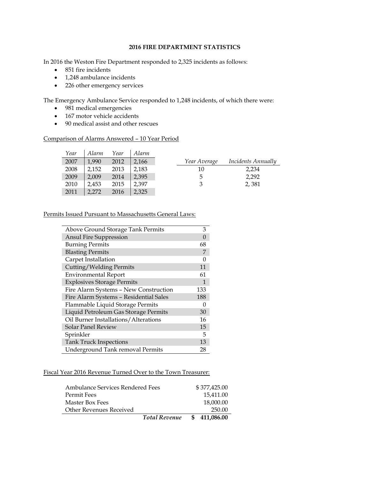# **2016 FIRE DEPARTMENT STATISTICS**

In 2016 the Weston Fire Department responded to 2,325 incidents as follows:

- 851 fire incidents
- 1,248 ambulance incidents
- 226 other emergency services

The Emergency Ambulance Service responded to 1,248 incidents, of which there were:

- 981 medical emergencies
- 167 motor vehicle accidents
- 90 medical assist and other rescues

### Comparison of Alarms Answered – 10 Year Period

| Year | Alarm | Year | Alarm |              |                           |
|------|-------|------|-------|--------------|---------------------------|
| 2007 | 1.990 | 2012 | 2,166 | Year Average | <i>Incidents Annually</i> |
| 2008 | 2.152 | 2013 | 2.183 | 10           | 2,234                     |
| 2009 | 2.009 | 2014 | 2.395 | 5            | 2,292                     |
| 2010 | 2.453 | 2015 | 2.397 | 3            | 2,381                     |
| 2011 | 2,272 | 2016 | 2,325 |              |                           |

### Permits Issued Pursuant to Massachusetts General Laws:

| Above Ground Storage Tank Permits      | 3   |
|----------------------------------------|-----|
| <b>Ansul Fire Suppression</b>          |     |
| <b>Burning Permits</b>                 | 68  |
| <b>Blasting Permits</b>                |     |
| Carpet Installation                    |     |
| Cutting/Welding Permits                | 11  |
| <b>Environmental Report</b>            | 61  |
| <b>Explosives Storage Permits</b>      |     |
| Fire Alarm Systems - New Construction  | 133 |
| Fire Alarm Systems - Residential Sales | 188 |
| Flammable Liquid Storage Permits       |     |
| Liquid Petroleum Gas Storage Permits   | 30  |
| Oil Burner Installations/Alterations   | 16  |
| <b>Solar Panel Review</b>              | 15  |
| Sprinkler                              | 5   |
| <b>Tank Truck Inspections</b>          | 13  |
| Underground Tank removal Permits       | 28  |

# Fiscal Year 2016 Revenue Turned Over to the Town Treasurer:

| Ambulance Services Rendered Fees |                      | \$377,425.00  |
|----------------------------------|----------------------|---------------|
| Permit Fees                      |                      | 15,411.00     |
| Master Box Fees                  |                      | 18,000.00     |
| Other Revenues Received          |                      | 250.00        |
|                                  | <b>Total Revenue</b> | \$ 411,086.00 |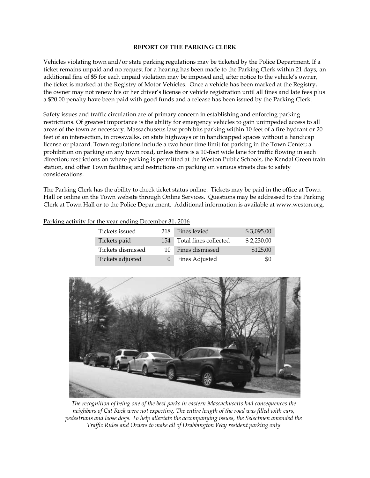### **REPORT OF THE PARKING CLERK**

Vehicles violating town and/or state parking regulations may be ticketed by the Police Department. If a ticket remains unpaid and no request for a hearing has been made to the Parking Clerk within 21 days, an additional fine of \$5 for each unpaid violation may be imposed and, after notice to the vehicle's owner, the ticket is marked at the Registry of Motor Vehicles. Once a vehicle has been marked at the Registry, the owner may not renew his or her driver's license or vehicle registration until all fines and late fees plus a \$20.00 penalty have been paid with good funds and a release has been issued by the Parking Clerk.

Safety issues and traffic circulation are of primary concern in establishing and enforcing parking restrictions. Of greatest importance is the ability for emergency vehicles to gain unimpeded access to all areas of the town as necessary. Massachusetts law prohibits parking within 10 feet of a fire hydrant or 20 feet of an intersection, in crosswalks, on state highways or in handicapped spaces without a handicap license or placard. Town regulations include a two hour time limit for parking in the Town Center; a prohibition on parking on any town road, unless there is a 10-foot wide lane for traffic flowing in each direction; restrictions on where parking is permitted at the Weston Public Schools, the Kendal Green train station, and other Town facilities; and restrictions on parking on various streets due to safety considerations.

The Parking Clerk has the ability to check ticket status online. Tickets may be paid in the office at Town Hall or online on the Town website through Online Services. Questions may be addressed to the Parking Clerk at Town Hall or to the Police Department. Additional information is available at www.weston.org.

| Tickets issued    | 218 | Fines levied          | \$3,095.00 |
|-------------------|-----|-----------------------|------------|
| Tickets paid      | 154 | Total fines collected | \$2,230.00 |
| Tickets dismissed | 10  | Fines dismissed       | \$125.00   |
| Tickets adjusted  |     | Fines Adjusted        | -90        |





*The recognition of being one of the best parks in eastern Massachusetts had consequences the neighbors of Cat Rock were not expecting. The entire length of the road was filled with cars, pedestrians and loose dogs. To help alleviate the accompanying issues, the Selectmen amended the Traffic Rules and Orders to make all of Drabbington Way resident parking only*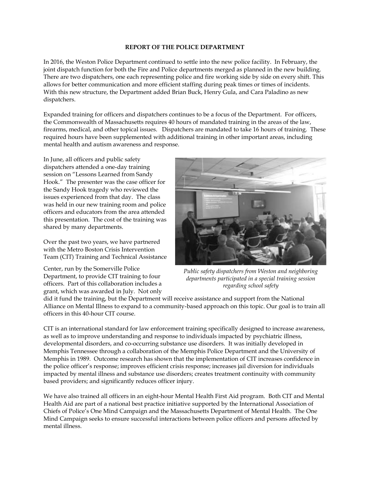## **REPORT OF THE POLICE DEPARTMENT**

In 2016, the Weston Police Department continued to settle into the new police facility. In February, the joint dispatch function for both the Fire and Police departments merged as planned in the new building. There are two dispatchers, one each representing police and fire working side by side on every shift. This allows for better communication and more efficient staffing during peak times or times of incidents. With this new structure, the Department added Brian Buck, Henry Gula, and Cara Paladino as new dispatchers.

Expanded training for officers and dispatchers continues to be a focus of the Department. For officers, the Commonwealth of Massachusetts requires 40 hours of mandated training in the areas of the law, firearms, medical, and other topical issues. Dispatchers are mandated to take 16 hours of training. These required hours have been supplemented with additional training in other important areas, including mental health and autism awareness and response.

In June, all officers and public safety dispatchers attended a one-day training session on "Lessons Learned from Sandy Hook." The presenter was the case officer for the Sandy Hook tragedy who reviewed the issues experienced from that day. The class was held in our new training room and police officers and educators from the area attended this presentation. The cost of the training was shared by many departments.

Over the past two years, we have partnered with the Metro Boston Crisis Intervention Team (CIT) Training and Technical Assistance

Center, run by the Somerville Police Department, to provide CIT training to four officers. Part of this collaboration includes a grant, which was awarded in July. Not only



*Public safety dispatchers from Weston and neighboring departments participated in a special training session regarding school safety*

did it fund the training, but the Department will receive assistance and support from the National Alliance on Mental Illness to expand to a community-based approach on this topic. Our goal is to train all officers in this 40-hour CIT course.

CIT is an international standard for law enforcement training specifically designed to increase awareness, as well as to improve understanding and response to individuals impacted by psychiatric illness, developmental disorders, and co-occurring substance use disorders. It was initially developed in Memphis Tennessee through a collaboration of the Memphis Police Department and the University of Memphis in 1989. Outcome research has shown that the implementation of CIT increases confidence in the police officer's response; improves efficient crisis response; increases jail diversion for individuals impacted by mental illness and substance use disorders; creates treatment continuity with community based providers; and significantly reduces officer injury.

We have also trained all officers in an eight-hour Mental Health First Aid program. Both CIT and Mental Health Aid are part of a national best practice initiative supported by the International Association of Chiefs of Police's One Mind Campaign and the Massachusetts Department of Mental Health. The One Mind Campaign seeks to ensure successful interactions between police officers and persons affected by mental illness.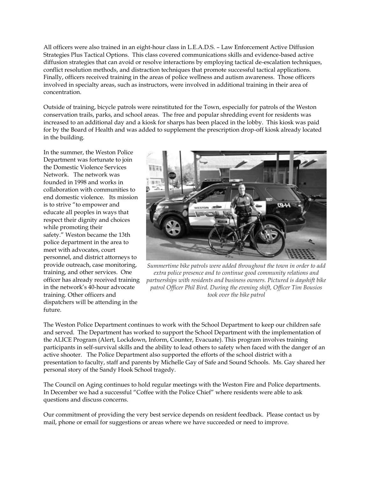All officers were also trained in an eight-hour class in L.E.A.D.S. – Law Enforcement Active Diffusion Strategies Plus Tactical Options. This class covered communications skills and evidence-based active diffusion strategies that can avoid or resolve interactions by employing tactical de-escalation techniques, conflict resolution methods, and distraction techniques that promote successful tactical applications. Finally, officers received training in the areas of police wellness and autism awareness. Those officers involved in specialty areas, such as instructors, were involved in additional training in their area of concentration.

Outside of training, bicycle patrols were reinstituted for the Town, especially for patrols of the Weston conservation trails, parks, and school areas. The free and popular shredding event for residents was increased to an additional day and a kiosk for sharps has been placed in the lobby. This kiosk was paid for by the Board of Health and was added to supplement the prescription drop-off kiosk already located in the building.

In the summer, the Weston Police Department was fortunate to join the Domestic Violence Services Network. The network was founded in 1998 and works in collaboration with communities to end domestic violence. Its mission is to strive "to empower and educate all peoples in ways that respect their dignity and choices while promoting their safety." Weston became the 13th police department in the area to meet with advocates, court personnel, and district attorneys to provide outreach, case monitoring, training, and other services. One officer has already received training in the network's 40-hour advocate training. Other officers and dispatchers will be attending in the future.



*Summertime bike patrols were added throughout the town in order to add extra police presence and to continue good community relations and partnerships with residents and business owners. Pictured is dayshift bike patrol Officer Phil Bird. During the evening shift, Officer Tim Bousios took over the bike patrol* 

The Weston Police Department continues to work with the School Department to keep our children safe and served. The Department has worked to support the School Department with the implementation of the ALICE Program (Alert, Lockdown, Inform, Counter, Evacuate). This program involves training participants in self-survival skills and the ability to lead others to safety when faced with the danger of an active shooter. The Police Department also supported the efforts of the school district with a presentation to faculty, staff and parents by Michelle Gay of Safe and Sound Schools. Ms. Gay shared her personal story of the Sandy Hook School tragedy.

The Council on Aging continues to hold regular meetings with the Weston Fire and Police departments. In December we had a successful "Coffee with the Police Chief" where residents were able to ask questions and discuss concerns.

Our commitment of providing the very best service depends on resident feedback. Please contact us by mail, phone or email for suggestions or areas where we have succeeded or need to improve.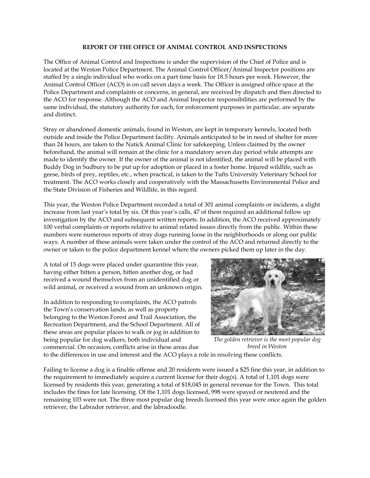## **REPORT OF THE OFFICE OF ANIMAL CONTROL AND INSPECTIONS**

The Office of Animal Control and Inspections is under the supervision of the Chief of Police and is located at the Weston Police Department. The Animal Control Officer/Animal Inspector positions are staffed by a single individual who works on a part time basis for 18.5 hours per week. However, the Animal Control Officer (ACO) is on call seven days a week. The Officer is assigned office space at the Police Department and complaints or concerns, in general, are received by dispatch and then directed to the ACO for response. Although the ACO and Animal Inspector responsibilities are performed by the same individual, the statutory authority for each, for enforcement purposes in particular, are separate and distinct.

Stray or abandoned domestic animals, found in Weston, are kept in temporary kennels, located both outside and inside the Police Department facility. Animals anticipated to be in need of shelter for more than 24 hours, are taken to the Natick Animal Clinic for safekeeping. Unless claimed by the owner beforehand, the animal will remain at the clinic for a mandatory seven day period while attempts are made to identify the owner. If the owner of the animal is not identified, the animal will be placed with Buddy Dog in Sudbury to be put up for adoption or placed in a foster home. Injured wildlife, such as geese, birds of prey, reptiles, etc., when practical, is taken to the Tufts University Veterinary School for treatment. The ACO works closely and cooperatively with the Massachusetts Environmental Police and the State Division of Fisheries and Wildlife, in this regard.

This year, the Weston Police Department recorded a total of 301 animal complaints or incidents, a slight increase from last year's total by six. Of this year's calls, 47 of them required an additional follow up investigation by the ACO and subsequent written reports. In addition, the ACO received approximately 100 verbal complaints or reports relative to animal related issues directly from the public. Within these numbers were numerous reports of stray dogs running loose in the neighborhoods or along our public ways. A number of these animals were taken under the control of the ACO and returned directly to the owner or taken to the police department kennel where the owners picked them up later in the day.

A total of 15 dogs were placed under quarantine this year, having either bitten a person, bitten another dog, or had received a wound themselves from an unidentified dog or wild animal, or received a wound from an unknown origin.

In addition to responding to complaints, the ACO patrols the Town's conservation lands, as well as property belonging to the Weston Forest and Trail Association, the Recreation Department, and the School Department. All of these areas are popular places to walk or jog in addition to being popular for dog walkers, both individual and commercial. On occasion, conflicts arise in these areas due



*The golden retriever is the most popular dog breed in Weston*

to the differences in use and interest and the ACO plays a role in resolving these conflicts.

Failing to license a dog is a finable offense and 20 residents were issued a \$25 fine this year, in addition to the requirement to immediately acquire a current license for their dog(s). A total of 1,101 dogs were licensed by residents this year, generating a total of \$18,045 in general revenue for the Town. This total includes the fines for late licensing. Of the 1,101 dogs licensed, 998 were spayed or neutered and the remaining 103 were not. The three most popular dog breeds licensed this year were once again the golden retriever, the Labrador retriever, and the labradoodle.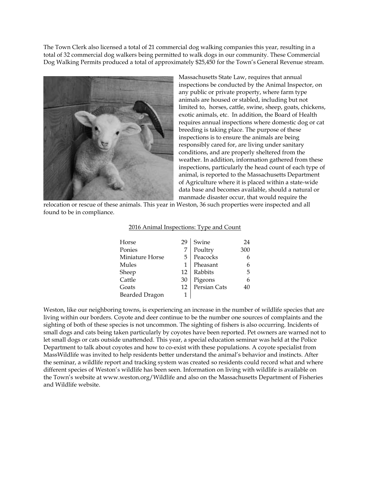The Town Clerk also licensed a total of 21 commercial dog walking companies this year, resulting in a total of 32 commercial dog walkers being permitted to walk dogs in our community. These Commercial Dog Walking Permits produced a total of approximately \$25,450 for the Town's General Revenue stream.



Massachusetts State Law, requires that annual inspections be conducted by the Animal Inspector, on any public or private property, where farm type animals are housed or stabled, including but not limited to, horses, cattle, swine, sheep, goats, chickens, exotic animals, etc. In addition, the Board of Health requires annual inspections where domestic dog or cat breeding is taking place. The purpose of these inspections is to ensure the animals are being responsibly cared for, are living under sanitary conditions, and are properly sheltered from the weather. In addition, information gathered from these inspections, particularly the head count of each type of animal, is reported to the Massachusetts Department of Agriculture where it is placed within a state-wide data base and becomes available, should a natural or manmade disaster occur, that would require the

relocation or rescue of these animals. This year in Weston, 36 such properties were inspected and all found to be in compliance.

| Horse                 | 29 | Swine        | 24  |
|-----------------------|----|--------------|-----|
| Ponies                |    | Poultry      | 300 |
| Miniature Horse       | 5  | Peacocks     |     |
| Mules                 |    | Pheasant     | 6   |
| Sheep                 | 12 | Rabbits      | 5   |
| Cattle                | 30 | Pigeons      |     |
| Goats                 | 12 | Persian Cats | 40  |
| <b>Bearded Dragon</b> |    |              |     |

#### 2016 Animal Inspections: Type and Count

Weston, like our neighboring towns, is experiencing an increase in the number of wildlife species that are living within our borders. Coyote and deer continue to be the number one sources of complaints and the sighting of both of these species is not uncommon. The sighting of fishers is also occurring. Incidents of small dogs and cats being taken particularly by coyotes have been reported. Pet owners are warned not to let small dogs or cats outside unattended. This year, a special education seminar was held at the Police Department to talk about coyotes and how to co-exist with these populations. A coyote specialist from MassWildlife was invited to help residents better understand the animal's behavior and instincts. After the seminar, a wildlife report and tracking system was created so residents could record what and where different species of Weston's wildlife has been seen. Information on living with wildlife is available on the Town's website at www.weston.org/Wildlife and also on the Massachusetts Department of Fisheries and Wildlife website.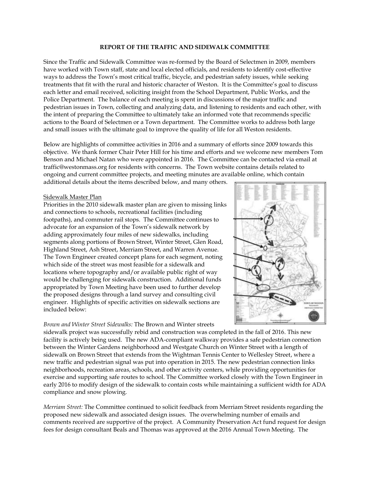#### **REPORT OF THE TRAFFIC AND SIDEWALK COMMITTEE**

Since the Traffic and Sidewalk Committee was re-formed by the Board of Selectmen in 2009, members have worked with Town staff, state and local elected officials, and residents to identify cost-effective ways to address the Town's most critical traffic, bicycle, and pedestrian safety issues, while seeking treatments that fit with the rural and historic character of Weston. It is the Committee's goal to discuss each letter and email received, soliciting insight from the School Department, Public Works, and the Police Department. The balance of each meeting is spent in discussions of the major traffic and pedestrian issues in Town, collecting and analyzing data, and listening to residents and each other, with the intent of preparing the Committee to ultimately take an informed vote that recommends specific actions to the Board of Selectmen or a Town department. The Committee works to address both large and small issues with the ultimate goal to improve the quality of life for all Weston residents.

Below are highlights of committee activities in 2016 and a summary of efforts since 2009 towards this objective. We thank former Chair Peter Hill for his time and efforts and we welcome new members Tom Benson and Michael Natan who were appointed in 2016. The Committee can be contacted via email at traffic@westonmass.org for residents with concerns. The Town website contains details related to ongoing and current committee projects, and meeting minutes are available online, which contain

additional details about the items described below, and many others.

### Sidewalk Master Plan

Priorities in the 2010 sidewalk master plan are given to missing links and connections to schools, recreational facilities (including footpaths), and commuter rail stops. The Committee continues to advocate for an expansion of the Town's sidewalk network by adding approximately four miles of new sidewalks, including segments along portions of Brown Street, Winter Street, Glen Road, Highland Street, Ash Street, Merriam Street, and Warren Avenue. The Town Engineer created concept plans for each segment, noting which side of the street was most feasible for a sidewalk and locations where topography and/or available public right of way would be challenging for sidewalk construction. Additional funds appropriated by Town Meeting have been used to further develop the proposed designs through a land survey and consulting civil engineer. Highlights of specific activities on sidewalk sections are included below:

#### *Brown and Winter Street Sidewalks:* The Brown and Winter streets



sidewalk project was successfully rebid and construction was completed in the fall of 2016. This new facility is actively being used. The new ADA-compliant walkway provides a safe pedestrian connection between the Winter Gardens neighborhood and Westgate Church on Winter Street with a length of sidewalk on Brown Street that extends from the Wightman Tennis Center to Wellesley Street, where a new traffic and pedestrian signal was put into operation in 2015. The new pedestrian connection links neighborhoods, recreation areas, schools, and other activity centers, while providing opportunities for exercise and supporting safe routes to school. The Committee worked closely with the Town Engineer in early 2016 to modify design of the sidewalk to contain costs while maintaining a sufficient width for ADA compliance and snow plowing.

*Merriam Street:* The Committee continued to solicit feedback from Merriam Street residents regarding the proposed new sidewalk and associated design issues. The overwhelming number of emails and comments received are supportive of the project. A Community Preservation Act fund request for design fees for design consultant Beals and Thomas was approved at the 2016 Annual Town Meeting. The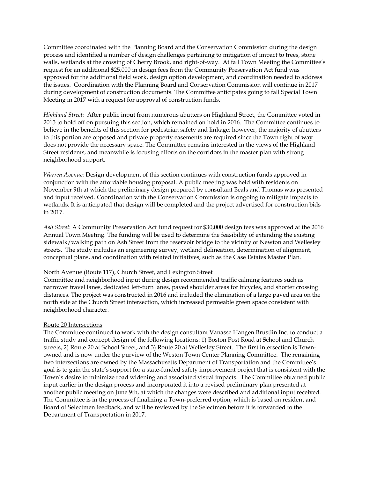Committee coordinated with the Planning Board and the Conservation Commission during the design process and identified a number of design challenges pertaining to mitigation of impact to trees, stone walls, wetlands at the crossing of Cherry Brook, and right-of-way. At fall Town Meeting the Committee's request for an additional \$25,000 in design fees from the Community Preservation Act fund was approved for the additional field work, design option development, and coordination needed to address the issues. Coordination with the Planning Board and Conservation Commission will continue in 2017 during development of construction documents. The Committee anticipates going to fall Special Town Meeting in 2017 with a request for approval of construction funds.

*Highland Street:* After public input from numerous abutters on Highland Street, the Committee voted in 2015 to hold off on pursuing this section, which remained on hold in 2016. The Committee continues to believe in the benefits of this section for pedestrian safety and linkage; however, the majority of abutters to this portion are opposed and private property easements are required since the Town right of way does not provide the necessary space. The Committee remains interested in the views of the Highland Street residents, and meanwhile is focusing efforts on the corridors in the master plan with strong neighborhood support.

*Warren Avenue:* Design development of this section continues with construction funds approved in conjunction with the affordable housing proposal. A public meeting was held with residents on November 9th at which the preliminary design prepared by consultant Beals and Thomas was presented and input received. Coordination with the Conservation Commission is ongoing to mitigate impacts to wetlands. It is anticipated that design will be completed and the project advertised for construction bids in 2017.

*Ash Street*: A Community Preservation Act fund request for \$30,000 design fees was approved at the 2016 Annual Town Meeting. The funding will be used to determine the feasibility of extending the existing sidewalk/walking path on Ash Street from the reservoir bridge to the vicinity of Newton and Wellesley streets. The study includes an engineering survey, wetland delineation, determination of alignment, conceptual plans, and coordination with related initiatives, such as the Case Estates Master Plan.

#### North Avenue (Route 117), Church Street, and Lexington Street

Committee and neighborhood input during design recommended traffic calming features such as narrower travel lanes, dedicated left-turn lanes, paved shoulder areas for bicycles, and shorter crossing distances. The project was constructed in 2016 and included the elimination of a large paved area on the north side at the Church Street intersection, which increased permeable green space consistent with neighborhood character.

## Route 20 Intersections

The Committee continued to work with the design consultant Vanasse Hangen Brustlin Inc. to conduct a traffic study and concept design of the following locations: 1) Boston Post Road at School and Church streets, 2) Route 20 at School Street, and 3) Route 20 at Wellesley Street. The first intersection is Townowned and is now under the purview of the Weston Town Center Planning Committee. The remaining two intersections are owned by the Massachusetts Department of Transportation and the Committee's goal is to gain the state's support for a state-funded safety improvement project that is consistent with the Town's desire to minimize road widening and associated visual impacts. The Committee obtained public input earlier in the design process and incorporated it into a revised preliminary plan presented at another public meeting on June 9th, at which the changes were described and additional input received. The Committee is in the process of finalizing a Town-preferred option, which is based on resident and Board of Selectmen feedback, and will be reviewed by the Selectmen before it is forwarded to the Department of Transportation in 2017.